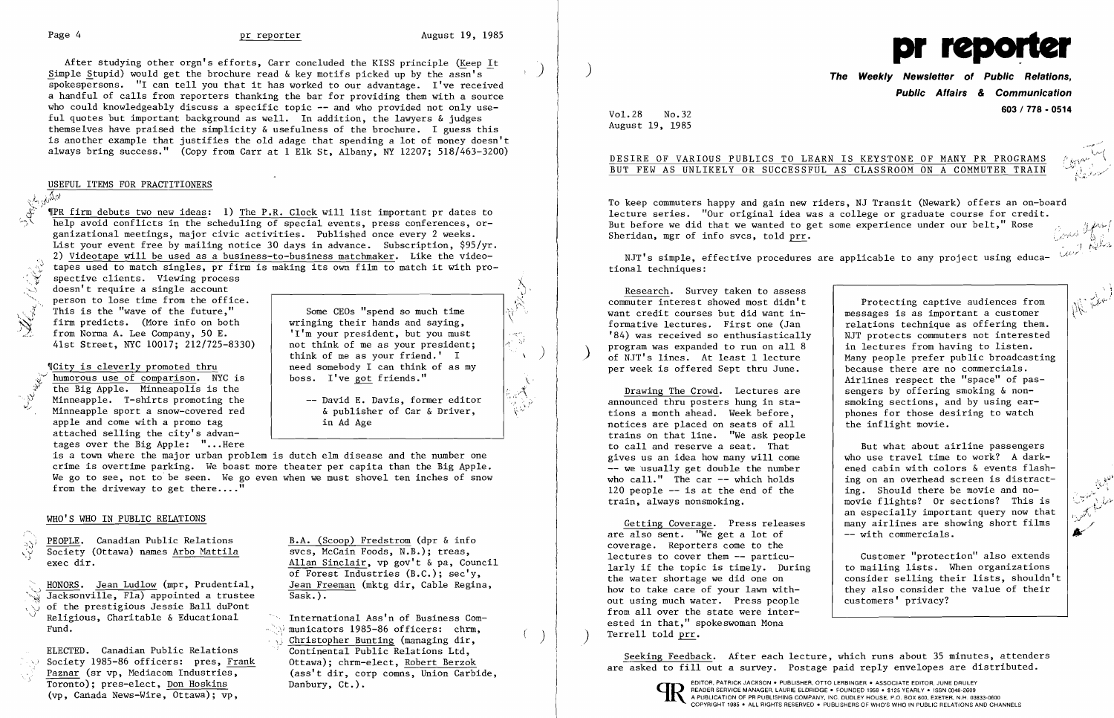$,j$  ". $\lambda$ 

I

After studying other orgn's efforts, Carr concluded the KISS principle (Keep It Simple Stupid) would get the brochure read  $\&$  key motifs picked up by the assn's spokespersons. "I can tell you that it has worked to our advantage. I've received a handful of calls from reporters thanking the bar for providing them with a source who could knowledgeably discuss a specific topic  $-$  and who provided not only useful quotes but important background as well. In addition, the lawyers & judges themselves have praised the simplicity & usefulness of the brochure. I guess this is another example that justifies the old adage that spending a lot of money doesn't always bring success." (Copy from Carr at 1 Elk St, Albany, NY 12207; 518/463-3200)

USEFUL ITEMS FOR PRACTITIONERS

 $\sqrt{\lambda_{ij}}$ IPR firm debuts two new ideas: 1) The P.R. Clock will list important pr dates to help avoid conflicts in the scheduling of special events, press conferences, organizational meetings, major civic activities. Published once every 2 weeks. List your event free by mailing notice 30 days in advance. Subscription, \$95/yr. 2) Videotape will be used as a business-to-business matchmaker. Like the video tapes used to match singles, pr firm is making its own film to match it with pro-

spective clients. Viewing process doesn't require a single account person to lose time from the office. This is the "wave of the future,"  $\lim$  predicts. (More info on both from Norma A. Lee Company, 50 E. 41st Street, NYC 10017; 212/725-8330)

~ICity is cleverly promoted thru humorous use of comparison. NYC is the Big Apple. Minneapolis is the Minneapple. T-shirts promoting the Minneapple sport a snow-covered red apple and come with a promo tag attached selling the city's advantages over the Big Apple: "... Here

Some CEOs "spend so much time wringing their hands and saying, 'I'm your president, but you must not think of me as your president: think of me as your friend.' I need somebody I can think of as my boss. I've got friends."

-- David E. Davis, former editor & publisher of Car & Driver, in Ad Age

is a town where the major urban problem is dutch elm disease and the number one crime is overtime parking. We boast more theater per capita than the Big Apple. We go to see, not to be seen. We go even when we must shovel ten inches of snow from the driveway to get there...."

PEOPLE. Canadian Public Relations B.A. (Scoop) Fredstrom (dpr & info ':':'>ii Society (Ottawa) names Arbo Mattila exec dir.

HONORS. Jean Ludlow (mpr, Prudential, Jean Freeman (mktg dir, Cable Regina, Jacksonville, Fla) appointed a trustee Sask.).  $\overline{Jacksonville,~Fla}$  appointed a trustee of the prestigious Jessie Ball duPont **Example 1985** Religious, Charitable & Educational **Religious, Charitable & Educational** International Ass'n of Business Com-<br>Fund.

Toronto); pres-elect, Don Hoskins Danbury, Ct.). EDITOR. PATRICK JACKSON. PUBLISHER, OTTO LERBINGER • ASSOCIATE EDITOR, JUNE DRULEY (ST. 1998). PESS YEARLY. ISSN 0048-2609. ISSN 0048-2609. ISSN 0048-2609. ISSN 0048-2609. I Toronto); pres-elect, <u>Don Hoskins</u><br>
(vp, Canada News-Wire, Ottawa); vp, a publication of PR PUBLICATION OF PR PUBLISHING COMPANY, INC. DUDLEY HOUSE. P.O. BOX 600, EXETER. N.H. 03833-0600

Allan Sinclair, vp gov't  $\&$  pa, Council of Forest Industries (B.C.); sec'y,

 $\forall$  municators 1985-86 officers: chrm, Christopher Bunting (managing dir,<br>Continental Public Relations Ltd, BOCIELY 1909-00 OITICLIS: PICS, <u>Flank</u> UCLAWA), CHIM-ELECL, <u>RODETL BETZOK</u><br>Paznar (sr vp, Mediacom Industries, (ass't dir, corp comns, Union Carbide, and a sure asked to fill out a survey. Postage paid reply envelopes ar

Getting Coverage. Press releases are also sent. "We get a lot of coverage. Reporters come to the lectures to cover them -- particularly if the topic is timely. During the water shortage we did one on how to take care of your lawn without using much water. Press people from all over the state were interested in that," spokeswoman Mona Terrell told prr.

ELECTED. Canadian Public Relations Continental Public Relations Ltd,<br>Society 1985-86 officers: pres, <u>Frank</u> Ottawa); chrm-elect, <u>Robert Berzok</u> , and Seeking Feedback. After each lecture, which runs about 35 minutes, att

## WHO'S WHO IN PUBLIC RELATIONS

..-.... ,

But what about airline passengers who use travel time to work? A darkened cabin with colors & events flashing on an overhead screen is distracting. Should there be movie and nomovie flights? Or sections? This is an especially important query now that many airlines are showing short films -- with commercials.

1, \~,j

'X ;  $\mathbf{r}$ 



# **Public Affairs & Communication 603 / 178 - <sup>0514</sup>**Vol. 28 No.32

DESIRE OF VARIOUS PUBLICS TO LEARN IS KEYSTONE OF MANY PR PROGRAMS BUT FEW AS UNLIKELY OR SUCCESSFUL AS CLASSROOM ON A COMMUTER TRAIN

August 19, 1985

«~;'L"I"",,···'/

 $\mathscr{F}^{n+1}$ 

ا:ب<sup>2</sup>لو'∏ +

ا ماه کام مسر  $\sim$  .  $\sim$   $\sim$  $[1/\sim]$ 

,~-r

. *,* 

To keep commuters happy and gain new riders, NJ Transit (Newark) offers an on-board lecture series. "Our original idea was a college or graduate course for credit. But before we did that we wanted to get some experience under our belt," Rose Sheridan, mgr of info svcs, told prr.

!.,Ai',~ *'* 

, and  $\sim$   $\sim$   $\sim$ 

NJT's simple, effective procedures are applicable to any project using educational techniques:

Research. Survey taken to assess commuter interest showed most didn't want credit courses but did want informative lectures. First one (Jan '84) was received so enthusiastically program was expanded to run on all 8<br>of NJT's lines. At least 1 lecture per week is offered Sept thru June.

Drawing The Crowd. Lectures are announced thru posters hung in stations a month ahead. Week before, notices are placed on seats of all trains on that line. "We ask people to call and reserve a seat. That gives us an idea how many will come -- we usually get double the number who call." The car -- which holds 120 people  $-$  is at the end of the train, always nonsmoking.

Protecting captive audiences from messages is as important a customer relations technique as offering them. NJT protects commuters not interested in lectures from having to listen. Many people prefer public broadcasting because there are no commercials. Airlines respect the "space" of passengers by offering smoking & nonsmoking sections, and by using earphones for those desiring to watch the inflight movie.

Customer "protection" also extends to mailing lists. When organizations consider selling their lists, shouldn't they also consider the value of their customers' privacy?

~·:t,.~~.J' " .... 'I **--** /-,"" • .••• \ I مهر (مهر است.<br>مراجع j"'u-.;:i·'•. ...<br>م**ي** ./